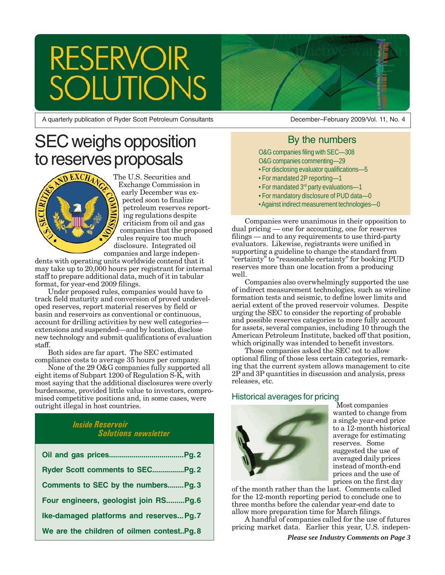# **RESERVOIR** TIONS

A quarterly publication of Ryder Scott Petroleum Consultants

#### December–February 2009/Vol. 11, No. 4

# By the numbers

O&G companies filing with SEC—308 O&G companies commenting—29

- For disclosing evaluator qualifications—5
- For mandated 2P reporting—1
- For mandated 3rd party evaluations—1
- For mandatory disclosure of PUD data—0
- Against indirect measurement technologies—0

Companies were unanimous in their opposition to dual pricing — one for accounting, one for reserves filings — and to any requirements to use third-party evaluators. Likewise, registrants were unified in supporting a guideline to change the standard from "certainty" to "reasonable certainty" for booking PUD reserves more than one location from a producing well.

Companies also overwhelmingly supported the use of indirect measurement technologies, such as wireline formation tests and seismic, to define lower limits and aerial extent of the proved reservoir volumes. Despite urging the SEC to consider the reporting of probable and possible reserves categories to more fully account for assets, several companies, including 10 through the American Petroleum Institute, backed off that position, which originally was intended to benefit investors.

Those companies asked the SEC not to allow optional filing of those less certain categories, remarking that the current system allows management to cite 2P and 3P quantities in discussion and analysis, press releases, etc.

# Historical averages for pricing



Most companies wanted to change from a single year-end price to a 12-month historical average for estimating reserves. Some suggested the use of averaged daily prices instead of month-end prices and the use of prices on the first day

of the month rather than the last. Comments called for the 12-month reporting period to conclude one to three months before the calendar year-end date to allow more preparation time for March filings.

A handful of companies called for the use of futures pricing market data. Earlier this year, U.S. indepen-

#### *Please see Industry Comments on Page 3*

# SEC weighs opposition to reserves proposals



The U.S. Securities and Exchange Commission in early December was expected soon to finalize petroleum reserves reporting regulations despite criticism from oil and gas companies that the proposed rules require too much disclosure. Integrated oil companies and large indepen-

dents with operating units worldwide contend that it may take up to 20,000 hours per registrant for internal staff to prepare additional data, much of it in tabular format, for year-end 2009 filings.

Under proposed rules, companies would have to track field maturity and conversion of proved undeveloped reserves, report material reserves by field or basin and reservoirs as conventional or continuous, account for drilling activities by new well categories extensions and suspended—and by location, disclose new technology and submit qualifications of evaluation staff.

Both sides are far apart. The SEC estimated compliance costs to average 35 hours per company.

None of the 29 O&G companies fully supported all eight items of Subpart 1200 of Regulation S-K, with most saying that the additional disclosures were overly burdensome, provided little value to investors, compromised competitive positions and, in some cases, were outright illegal in host countries.

# *Inside Reservoir Solutions newsletter*

| Comments to SEC by the numbersPg. 3       |
|-------------------------------------------|
| Four engineers, geologist join RSPg.6     |
| Ike-damaged platforms and reserves Pg.7   |
| We are the children of oilmen contestPg.8 |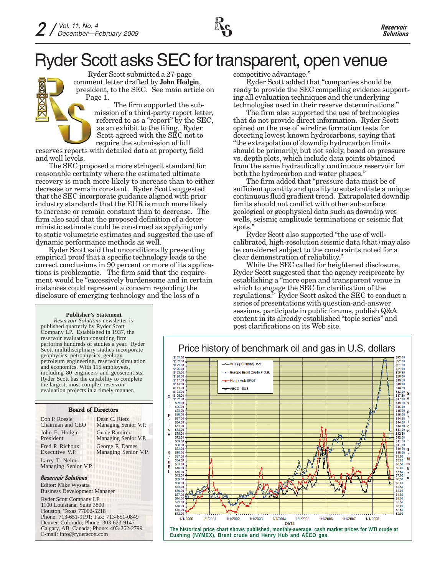Ryder Scott submitted a 27-page comment letter drafted by **John Hodgin**, president, to the SEC. See main article on Page 1.

The firm supported the submission of a third-party report letter, referred to as a "report" by the SEC, as an exhibit to the filing. Ryder Scott agreed with the SEC not to require the submission of full

reserves reports with detailed data at property, field and well levels.

The SEC proposed a more stringent standard for reasonable certainty where the estimated ultimate recovery is much more likely to increase than to either decrease or remain constant. Ryder Scott suggested that the SEC incorporate guidance aligned with prior industry standards that the EUR is much more likely to increase or remain constant than to decrease. The firm also said that the proposed definition of a deterministic estimate could be construed as applying only to static volumetric estimates and suggested the use of dynamic performance methods as well.

Ryder Scott said that unconditionally presenting empirical proof that a specific technology leads to the correct conclusions in 90 percent or more of its applications is problematic. The firm said that the requirement would be "excessively burdensome and in certain instances could represent a concern regarding the disclosure of emerging technology and the loss of a

competitive advantage."

Ryder Scott added that "companies should be ready to provide the SEC compelling evidence supporting all evaluation techniques and the underlying technologies used in their reserve determinations."

The firm also supported the use of technologies that do not provide direct information. Ryder Scott opined on the use of wireline formation tests for detecting lowest known hydrocarbons, saying that "the extrapolation of downdip hydrocarbon limits should be primarily, but not solely, based on pressure vs. depth plots, which include data points obtained from the same hydraulically continuous reservoir for both the hydrocarbon and water phases."

The firm added that "pressure data must be of sufficient quantity and quality to substantiate a unique continuous fluid gradient trend. Extrapolated downdip limits should not conflict with other subsurface geological or geophysical data such as downdip wet wells, seismic amplitude terminations or seismic flat spots.'

Ryder Scott also supported "the use of wellcalibrated, high-resolution seismic data (that) may also be considered subject to the constraints noted for a clear demonstration of reliability."

While the SEC called for heightened disclosure, Ryder Scott suggested that the agency reciprocate by establishing a "more open and transparent venue in which to engage the SEC for clarification of the regulations." Ryder Scott asked the SEC to conduct a series of presentations with question-and-answer sessions, participate in public forums, publish Q&A content in its already established "topic series" and post clarifications on its Web site.



#### **Publisher's Statement**

*Reservoir Solutions* newsletter is published quarterly by Ryder Scott Company LP. Established in 1937, the reservoir evaluation consulting firm performs hundreds of studies a year. Ryder Scott multidisciplinary studies incorporate geophysics, petrophysics, geology, petroleum engineering, reservoir simulation and economics. With 115 employees, including 80 engineers and geoscientists, Ryder Scott has the capability to complete the largest, most complex reservoirevaluation projects in a timely manner.

| <b>Board of Directors</b>                                                                 |                                              |
|-------------------------------------------------------------------------------------------|----------------------------------------------|
| Don P. Roesle<br>Chairman and CEO                                                         | Dean C. Rietz<br>Managing Senior V.P.        |
| John E. Hodgin<br>President                                                               | <b>Guale Ramirez</b><br>Managing Senior V.P. |
| Fred P. Richoux<br>Executive V.P.                                                         | George F. Dames<br>Managing Senior V.P.      |
| Larry T. Nelms<br>Managing Senior V.P.                                                    | 1 T T                                        |
| <b>Reservoir Solutions</b><br>Editor: Mike Wysatta<br><b>Business Development Manager</b> |                                              |
| <b>Ryder Scott Company LP</b><br>1100 Louisiana, Suite 3800<br>Houston, Texas 77002-5218  |                                              |

Houston, Texas 77002-5218 Phone: 713-651-9191; Fax: 713-651-0849 Denver, Colorado; Phone: 303-623-9147 Calgary, AB, Canada; Phone: 403-262-2799 E-mail: info@ryderscott.com

# Price history of benchmark oil and gas in U.S. dollars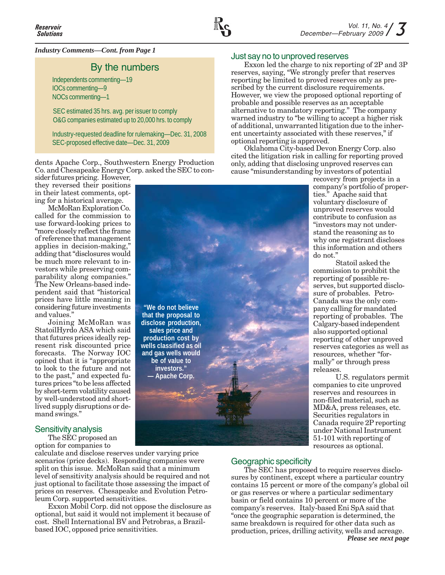

# *Industry Comments—Cont. from Page 1*

# By the numbers

Independents commenting—19 IOCs commenting—9 NOCs commenting—1

SEC estimated 35 hrs. avg. per issuer to comply O&G companies estimated up to 20,000 hrs. to comply

Industry-requested deadline for rulemaking—Dec. 31, 2008 SEC-proposed effective date—Dec. 31, 2009

dents Apache Corp., Southwestern Energy Production Co. and Chesapeake Energy Corp. asked the SEC to con-

> **"We do not believe that the proposal to disclose production, sales price and production cost by wells classified as oil and gas wells would be of value to investors." — Apache Corp.**

sider futures pricing. However, they reversed their positions in their latest comments, opting for a historical average.

McMoRan Exploration Co. called for the commission to use forward-looking prices to "more closely reflect the frame of reference that management applies in decision-making," adding that "disclosures would be much more relevant to investors while preserving comparability along companies." The New Orleans-based independent said that "historical prices have little meaning in considering future investments and values."

Joining McMoRan was StatoilHyrdo ASA which said that futures prices ideally represent risk discounted price forecasts. The Norway IOC opined that it is "appropriate to look to the future and not to the past," and expected futures prices "to be less affected by short-term volatility caused by well-understood and shortlived supply disruptions or demand swings."

# Sensitivity analysis

The SEC proposed an option for companies to

calculate and disclose reserves under varying price scenarios (price decks). Responding companies were split on this issue. McMoRan said that a minimum level of sensitivity analysis should be required and not just optional to facilitate those assessing the impact of prices on reserves. Chesapeake and Evolution Petroleum Corp. supported sensitivities.

Exxon Mobil Corp. did not oppose the disclosure as optional, but said it would not implement it because of cost. Shell International BV and Petrobras, a Brazilbased IOC, opposed price sensitivities.

## Just say no to unproved reserves

Exxon led the charge to nix reporting of 2P and 3P reserves, saying, "We strongly prefer that reserves reporting be limited to proved reserves only as prescribed by the current disclosure requirements. However, we view the proposed optional reporting of probable and possible reserves as an acceptable alternative to mandatory reporting." The company warned industry to "be willing to accept a higher risk of additional, unwarranted litigation due to the inherent uncertainty associated with these reserves," if optional reporting is approved.

Oklahoma City-based Devon Energy Corp. also cited the litigation risk in calling for reporting proved only, adding that disclosing unproved reserves can cause "misunderstanding by investors of potential

> recovery from projects in a company's portfolio of properties." Apache said that voluntary disclosure of unproved reserves would contribute to confusion as "investors may not understand the reasoning as to why one registrant discloses this information and others do not."

> Statoil asked the commission to prohibit the reporting of possible reserves, but supported disclosure of probables. Petro-Canada was the only company calling for mandated reporting of probables. The Calgary-based independent also supported optional reporting of other unproved reserves categories as well as resources, whether "formally" or through press releases.

U.S. regulators permit companies to cite unproved reserves and resources in non-filed material, such as MD&A, press releases, etc. Securities regulators in Canada require 2P reporting under National Instrument 51-101 with reporting of resources as optional.

# Geographic specificity

The SEC has proposed to require reserves disclosures by continent, except where a particular country contains 15 percent or more of the company's global oil or gas reserves or where a particular sedimentary basin or field contains 10 percent or more of the company's reserves. Italy-based Eni SpA said that "once the geographic separation is determined, the same breakdown is required for other data such as production, prices, drilling activity, wells and acreage. *Please see next page*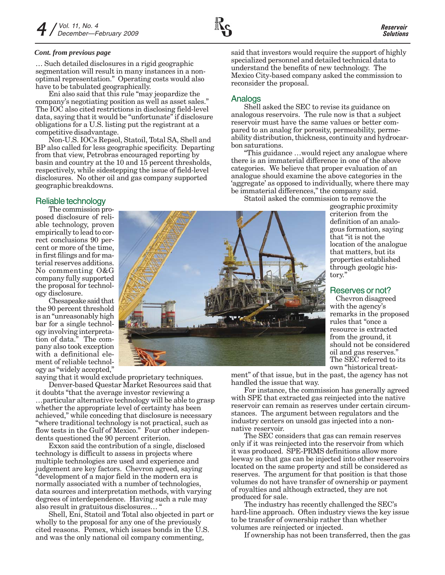#### *Cont. from previous page*

… Such detailed disclosures in a rigid geographic segmentation will result in many instances in a nonoptimal representation." Operating costs would also have to be tabulated geographically.

Eni also said that this rule "may jeopardize the company's negotiating position as well as asset sales." The IOC also cited restrictions in disclosing field-level data, saying that it would be "unfortunate" if disclosure obligations for a U.S. listing put the registrant at a competitive disadvantage.

Non-U.S. IOCs Repsol, Statoil, Total SA, Shell and BP also called for less geographic specificity. Departing from that view, Petrobras encouraged reporting by basin and country at the 10 and 15 percent thresholds, respectively, while sidestepping the issue of field-level disclosures. No other oil and gas company supported geographic breakdowns.

# Reliable technology

The commission proposed disclosure of reliable technology, proven empirically to lead to correct conclusions 90 percent or more of the time, in first filings and for material reserves additions. No commenting O&G company fully supported the proposal for technology disclosure.

Chesapeake said that the 90 percent threshold is an "unreasonably high bar for a single technology involving interpretation of data." The company also took exception with a definitional element of reliable technology as "widely accepted,"

saying that it would exclude proprietary techniques. Denver-based Questar Market Resources said that

it doubts "that the average investor reviewing a …particular alternative technology will be able to grasp whether the appropriate level of certainty has been achieved," while conceding that disclosure is necessary "where traditional technology is not practical, such as flow tests in the Gulf of Mexico." Four other independents questioned the 90 percent criterion.

Exxon said the contribution of a single, disclosed technology is difficult to assess in projects where multiple technologies are used and experience and judgement are key factors. Chevron agreed, saying "development of a major field in the modern era is normally associated with a number of technologies, data sources and interpretation methods, with varying degrees of interdependence. Having such a rule may also result in gratuitous disclosures… "

Shell, Eni, Statoil and Total also objected in part or wholly to the proposal for any one of the previously cited reasons. Pemex, which issues bonds in the U.S. and was the only national oil company commenting,

said that investors would require the support of highly specialized personnel and detailed technical data to understand the benefits of new technology. The Mexico City-based company asked the commission to reconsider the proposal.

# Analogs

Shell asked the SEC to revise its guidance on analogous reservoirs. The rule now is that a subject reservoir must have the same values or better compared to an analog for porosity, permeability, permeability distribution, thickness, continuity and hydrocarbon saturations.

"This guidance …would reject any analogue where there is an immaterial difference in one of the above categories. We believe that proper evaluation of an analogue should examine the above categories in the 'aggregate' as opposed to individually, where there may be immaterial differences," the company said.

Statoil asked the commission to remove the

geographic proximity criterion from the definition of an analogous formation, saying that "it is not the location of the analogue that matters, but its properties established through geologic history."

# Reserves or not?

Chevron disagreed with the agency's remarks in the proposed rules that "once a resource is extracted from the ground, it should not be considered oil and gas reserves." The SEC referred to its own "historical treat-

ment" of that issue, but in the past, the agency has not handled the issue that way.

For instance, the commission has generally agreed with SPE that extracted gas reinjected into the native reservoir can remain as reserves under certain circumstances. The argument between regulators and the industry centers on unsold gas injected into a nonnative reservoir.

The SEC considers that gas can remain reserves only if it was reinjected into the reservoir from which it was produced. SPE-PRMS definitions allow more leeway so that gas can be injected into other reservoirs located on the same property and still be considered as reserves. The argument for that position is that those volumes do not have transfer of ownership or payment of royalties and although extracted, they are not produced for sale.

The industry has recently challenged the SEC's hard-line approach. Often industry views the key issue to be transfer of ownership rather than whether volumes are reinjected or injected.

If ownership has not been transferred, then the gas

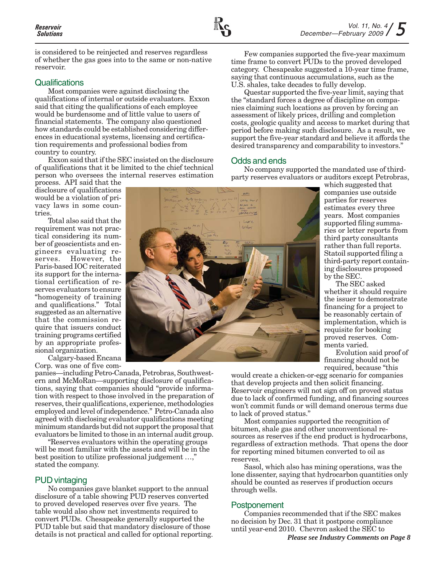is considered to be reinjected and reserves regardless of whether the gas goes into to the same or non-native reservoir.

### **Qualifications**

Most companies were against disclosing the qualifications of internal or outside evaluators. Exxon said that citing the qualifications of each employee would be burdensome and of little value to users of financial statements. The company also questioned how standards could be established considering differences in educational systems, licensing and certification requirements and professional bodies from country to country.

Exxon said that if the SEC insisted on the disclosure of qualifications that it be limited to the chief technical person who oversees the internal reserves estimation

process. API said that the disclosure of qualifications would be a violation of privacy laws in some countries.

Total also said that the requirement was not practical considering its number of geoscientists and engineers evaluating re-However, the Paris-based IOC reiterated its support for the international certification of reserves evaluators to ensure "homogeneity of training and qualifications." Total suggested as an alternative that the commission require that issuers conduct training programs certified by an appropriate professional organization.

Calgary-based Encana Corp. was one of five com-

panies—including Petro-Canada, Petrobras, Southwestern and McMoRan—supporting disclosure of qualifications, saying that companies should "provide information with respect to those involved in the preparation of reserves, their qualifications, experience, methodologies employed and level of independence." Petro-Canada also agreed with disclosing evaluator qualifications meeting minimum standards but did not support the proposal that evaluators be limited to those in an internal audit group.

"Reserves evaluators within the operating groups will be most familiar with the assets and will be in the best position to utilize professional judgement …," stated the company.

## PUD vintaging

No companies gave blanket support to the annual disclosure of a table showing PUD reserves converted to proved developed reserves over five years. The table would also show net investments required to convert PUDs. Chesapeake generally supported the PUD table but said that mandatory disclosure of those details is not practical and called for optional reporting.

Few companies supported the five-year maximum time frame to convert PUDs to the proved developed category. Chesapeake suggested a 10-year time frame, saying that continuous accumulations, such as the U.S. shales, take decades to fully develop.

Questar supported the five-year limit, saying that the "standard forces a degree of discipline on companies claiming such locations as proven by forcing an assessment of likely prices, drilling and completion costs, geologic quality and access to market during that period before making such disclosure. As a result, we support the five-year standard and believe it affords the desired transparency and comparability to investors."

## Odds and ends

No company supported the mandated use of thirdparty reserves evaluators or auditors except Petrobras,

> which suggested that companies use outside parties for reserves estimates every three years. Most companies supported filing summaries or letter reports from third party consultants rather than full reports. Statoil supported filing a third-party report containing disclosures proposed by the SEC.

The SEC asked whether it should require the issuer to demonstrate financing for a project to be reasonably certain of implementation, which is requisite for booking proved reserves. Comments varied.

Evolution said proof of financing should not be required, because "this

would create a chicken-or-egg scenario for companies that develop projects and then solicit financing. Reservoir engineers will not sign off on proved status due to lack of confirmed funding, and financing sources won't commit funds or will demand onerous terms due to lack of proved status."

Most companies supported the recognition of bitumen, shale gas and other unconventional resources as reserves if the end product is hydrocarbons, regardless of extraction methods. That opens the door for reporting mined bitumen converted to oil as reserves.

Sasol, which also has mining operations, was the lone dissenter, saying that hydrocarbon quantities only should be counted as reserves if production occurs through wells.

## Postponement

Companies recommended that if the SEC makes no decision by Dec. 31 that it postpone compliance until year-end 2010. Chevron asked the SEC to



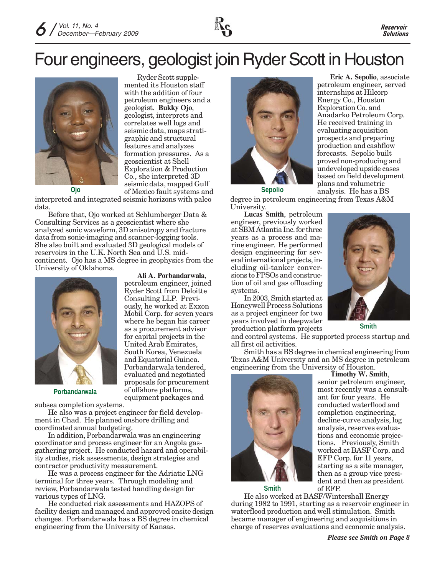

# Four engineers, geologist join Ryder Scott in Houston



Ryder Scott supplemented its Houston staff with the addition of four petroleum engineers and a geologist. **Bukky Ojo**, geologist, interprets and correlates well logs and seismic data, maps stratigraphic and structural features and analyzes formation pressures. As a geoscientist at Shell Exploration & Production Co., she interpreted 3D seismic data, mapped Gulf **of Mexico fault systems and volumetric details and volumetric plans and volumetric of Mexico fault systems and Sepolio analysis. He has a BS** 

> **Ali A. Porbandarwala**, petroleum engineer, joined Ryder Scott from Deloitte Consulting LLP. Previously, he worked at Exxon Mobil Corp. for seven years where he began his career as a procurement advisor for capital projects in the United Arab Emirates, South Korea, Venezuela and Equatorial Guinea. Porbandarwala tendered, evaluated and negotiated proposals for procurement of offshore platforms, equipment packages and

interpreted and integrated seismic horizons with paleo data.

Before that, Ojo worked at Schlumberger Data & Consulting Services as a geoscientist where she analyzed sonic waveform, 3D anisotropy and fracture data from sonic-imaging and scanner-logging tools. She also built and evaluated 3D geological models of reservoirs in the U.K. North Sea and U.S. midcontinent. Ojo has a MS degree in geophysics from the University of Oklahoma.



**Porbandarwala**

subsea completion systems.

He also was a project engineer for field development in Chad. He planned onshore drilling and coordinated annual budgeting.

In addition, Porbandarwala was an engineering coordinator and process engineer for an Angola gasgathering project. He conducted hazard and operability studies, risk assessments, design strategies and contractor productivity measurement.

He was a process engineer for the Adriatic LNG terminal for three years. Through modeling and review, Porbandarwala tested handling design for various types of LNG.

He conducted risk assessments and HAZOPS of facility design and managed and approved onsite design changes. Porbandarwala has a BS degree in chemical engineering from the University of Kansas.



**Eric A. Sepolio**, associate petroleum engineer, served internships at Hilcorp Energy Co., Houston Exploration Co. and Anadarko Petroleum Corp. He received training in evaluating acquisition prospects and preparing production and cashflow forecasts. Sepolio built proved non-producing and undeveloped upside cases based on field development

**Sepolio**

degree in petroleum engineering from Texas A&M University.

**Lucas Smith**, petroleum engineer, previously worked at SBM Atlantia Inc. for three years as a process and marine engineer. He performed design engineering for several international projects, including oil-tanker conversions to FPSOs and construction of oil and gas offloading systems.

In 2003, Smith started at Honeywell Process Solutions as a project engineer for two years involved in deepwater production platform projects

and control systems. He supported process startup and all first oil activities.

Smith has a BS degree in chemical engineering from Texas A&M University and an MS degree in petroleum engineering from the University of Houston. **Timothy W. Smith**,



senior petroleum engineer, most recently was a consultant for four years. He conducted waterflood and completion engineering, decline-curve analysis, log analysis, reserves evaluations and economic projections. Previously, Smith worked at BASF Corp. and EFP Corp. for 11 years, starting as a site manager, then as a group vice president and then as president of EFP.

**Smith**

He also worked at BASF/Wintershall Energy during 1982 to 1991, starting as a reservoir engineer in waterflood production and well stimulation. Smith became manager of engineering and acquisitions in charge of reserves evaluations and economic analysis.



**Smith**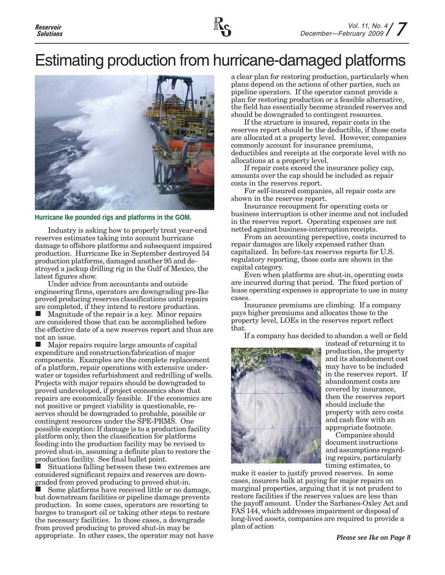# Estimating production from hurricane-damaged platforms



#### **Hurricane Ike pounded rigs and platforms in the GOM.**

Industry is asking how to properly treat year-end reserves estimates taking into account hurricane damage to offshore platforms and subsequent impaired production. Hurricane Ike in September destroyed 54 production platforms, damaged another 95 and destroyed a jackup drilling rig in the Gulf of Mexico, the latest figures show.

Under advice from accountants and outside engineering firms, operators are downgrading pre-Ike proved producing reserves classifications until repairs are completed, if they intend to restore production.

 Magnitude of the repair is a key. Minor repairs are considered those that can be accomplished before the effective date of a new reserves report and thus are not an issue.

■ Major repairs require large amounts of capital expenditure and construction/fabrication of major components. Examples are the complete replacement of a platform, repair operations with extensive underwater or topsides refurbishment and redrilling of wells. Projects with major repairs should be downgraded to proved undeveloped, if project economics show that repairs are economically feasible. If the economics are not positive or project viability is questionable, reserves should be downgraded to probable, possible or contingent resources under the SPE-PRMS. One possible exception: If damage is to a production facility platform only, then the classification for platforms feeding into the production facility may be revised to proved shut-in, assuming a definite plan to restore the production facility. See final bullet point.

 Situations falling between these two extremes are considered significant repairs and reserves are downgraded from proved producing to proved shut-in.

 Some platforms have received little or no damage, but downstream facilities or pipeline damage prevents production. In some cases, operators are resorting to barges to transport oil or taking other steps to restore the necessary facilities. In those cases, a downgrade from proved producing to proved shut-in may be appropriate. In other cases, the operator may not have a clear plan for restoring production, particularly when plans depend on the actions of other parties, such as pipeline operators. If the operator cannot provide a plan for restoring production or a feasible alternative, the field has essentially become stranded reserves and should be downgraded to contingent resources.

If the structure is insured, repair costs in the reserves report should be the deductible, if those costs are allocated at a property level. However, companies commonly account for insurance premiums, deductibles and receipts at the corporate level with no allocations at a property level.

If repair costs exceed the insurance policy cap, amounts over the cap should be included as repair costs in the reserves report.

For self-insured companies, all repair costs are shown in the reserves report.

Insurance recoupment for operating costs or business interruption is other income and not included in the reserves report. Operating expenses are not netted against business-interruption receipts.

From an accounting perspective, costs incurred to repair damages are likely expensed rather than capitalized. In before-tax reserves reports for U.S. regulatory reporting, those costs are shown in the capital category.

Even when platforms are shut-in, operating costs are incurred during that period. The fixed portion of lease operating expenses is appropriate to use in many cases.

Insurance premiums are climbing. If a company pays higher premiums and allocates those to the property level, LOEs in the reserves report reflect that.

If a company has decided to abandon a well or field



instead of returning it to production, the property and its abandonment cost may have to be included in the reserves report. If abandonment costs are covered by insurance, then the reserves report should include the property with zero costs and cash flow with an appropriate footnote.

Companies should document instructions and assumptions regarding repairs, particularly timing estimates, to

make it easier to justify proved reserves. In some cases, insurers balk at paying for major repairs on marginal properties, arguing that it is not prudent to restore facilities if the reserves values are less than the payoff amount. Under the Sarbanes-Oxley Act and FAS 144, which addresses impairment or disposal of long-lived assets, companies are required to provide a plan of action